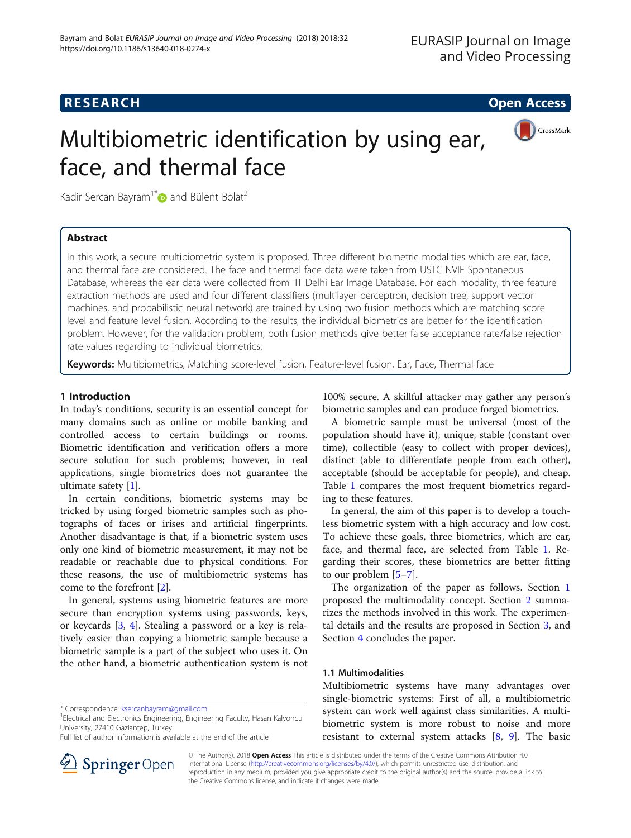# **RESEARCH CHILD CONTROL** CONTROL CONTROL CONTROL CONTROL CONTROL CONTROL CONTROL CONTROL CONTROL CONTROL CONTROL CONTROL CONTROL CONTROL CONTROL CONTROL CONTROL CONTROL CONTROL CONTROL CONTROL CONTROL CONTROL CONTROL CONTR



# Multibiometric identification by using ear, face, and thermal face

Kadir Sercan Bayram<sup>1\*</sup> $\bullet$  and Bülent Bolat<sup>2</sup>

# Abstract

In this work, a secure multibiometric system is proposed. Three different biometric modalities which are ear, face, and thermal face are considered. The face and thermal face data were taken from USTC NVIE Spontaneous Database, whereas the ear data were collected from IIT Delhi Ear Image Database. For each modality, three feature extraction methods are used and four different classifiers (multilayer perceptron, decision tree, support vector machines, and probabilistic neural network) are trained by using two fusion methods which are matching score level and feature level fusion. According to the results, the individual biometrics are better for the identification problem. However, for the validation problem, both fusion methods give better false acceptance rate/false rejection rate values regarding to individual biometrics.

Keywords: Multibiometrics, Matching score-level fusion, Feature-level fusion, Ear, Face, Thermal face

# 1 Introduction

In today's conditions, security is an essential concept for many domains such as online or mobile banking and controlled access to certain buildings or rooms. Biometric identification and verification offers a more secure solution for such problems; however, in real applications, single biometrics does not guarantee the ultimate safety [[1](#page-6-0)].

In certain conditions, biometric systems may be tricked by using forged biometric samples such as photographs of faces or irises and artificial fingerprints. Another disadvantage is that, if a biometric system uses only one kind of biometric measurement, it may not be readable or reachable due to physical conditions. For these reasons, the use of multibiometric systems has come to the forefront [\[2](#page-6-0)].

In general, systems using biometric features are more secure than encryption systems using passwords, keys, or keycards [[3,](#page-6-0) [4\]](#page-6-0). Stealing a password or a key is relatively easier than copying a biometric sample because a biometric sample is a part of the subject who uses it. On the other hand, a biometric authentication system is not

\* Correspondence: [ksercanbayram@gmail.com](mailto:ksercanbayram@gmail.com) <sup>1</sup>

<sup>1</sup> Electrical and Electronics Engineering, Engineering Faculty, Hasan Kalyoncu University, 27410 Gaziantep, Turkey

Full list of author information is available at the end of the article



A biometric sample must be universal (most of the population should have it), unique, stable (constant over time), collectible (easy to collect with proper devices), distinct (able to differentiate people from each other), acceptable (should be acceptable for people), and cheap. Table [1](#page-1-0) compares the most frequent biometrics regarding to these features.

In general, the aim of this paper is to develop a touchless biometric system with a high accuracy and low cost. To achieve these goals, three biometrics, which are ear, face, and thermal face, are selected from Table [1.](#page-1-0) Regarding their scores, these biometrics are better fitting to our problem [\[5](#page-6-0)–[7](#page-7-0)].

The organization of the paper as follows. Section 1 proposed the multimodality concept. Section [2](#page-3-0) summarizes the methods involved in this work. The experimental details and the results are proposed in Section [3](#page-3-0), and Section [4](#page-5-0) concludes the paper.

## 1.1 Multimodalities

Multibiometric systems have many advantages over single-biometric systems: First of all, a multibiometric system can work well against class similarities. A multibiometric system is more robust to noise and more resistant to external system attacks  $[8, 9]$  $[8, 9]$  $[8, 9]$  $[8, 9]$  $[8, 9]$ . The basic



© The Author(s). 2018 Open Access This article is distributed under the terms of the Creative Commons Attribution 4.0 International License ([http://creativecommons.org/licenses/by/4.0/\)](http://creativecommons.org/licenses/by/4.0/), which permits unrestricted use, distribution, and reproduction in any medium, provided you give appropriate credit to the original author(s) and the source, provide a link to the Creative Commons license, and indicate if changes were made.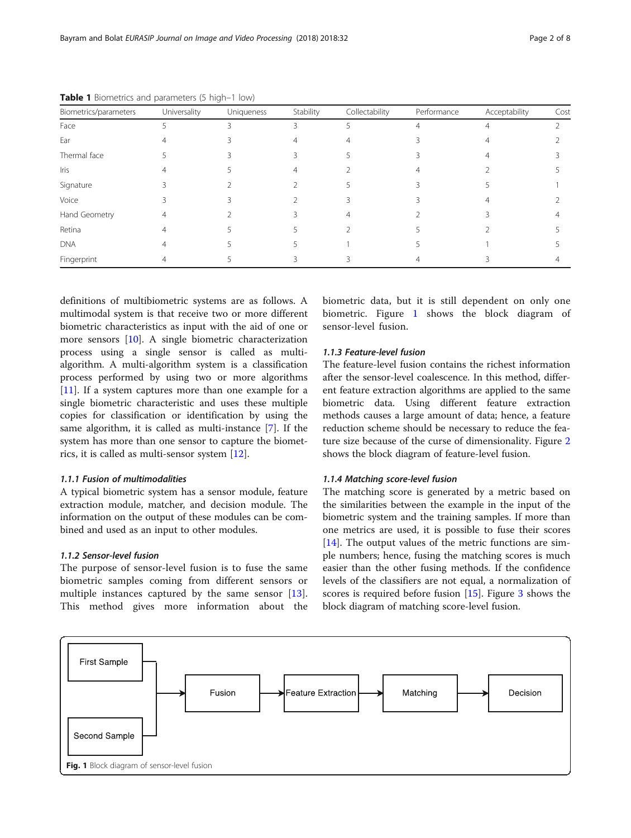| Biometrics/parameters | Universality | Uniqueness | Stability | Collectability | Performance | Acceptability | Cost |
|-----------------------|--------------|------------|-----------|----------------|-------------|---------------|------|
| Face                  | ↳            |            | ζ         |                |             |               |      |
| Ear                   |              |            |           |                |             |               |      |
| Thermal face          |              |            |           |                |             |               |      |
| Iris                  |              |            |           |                |             |               |      |
| Signature             |              |            |           |                |             |               |      |
| Voice                 |              |            |           |                |             |               |      |
| Hand Geometry         |              |            |           |                |             |               |      |
| Retina                |              |            |           |                |             |               |      |
| <b>DNA</b>            |              |            |           |                |             |               |      |
| Fingerprint           |              |            |           |                |             |               |      |

<span id="page-1-0"></span>Table 1 Biometrics and parameters (5 high–1 low)

definitions of multibiometric systems are as follows. A multimodal system is that receive two or more different biometric characteristics as input with the aid of one or more sensors [[10\]](#page-7-0). A single biometric characterization process using a single sensor is called as multialgorithm. A multi-algorithm system is a classification process performed by using two or more algorithms [[11\]](#page-7-0). If a system captures more than one example for a single biometric characteristic and uses these multiple copies for classification or identification by using the same algorithm, it is called as multi-instance [\[7](#page-7-0)]. If the system has more than one sensor to capture the biometrics, it is called as multi-sensor system [\[12](#page-7-0)].

# 1.1.1 Fusion of multimodalities

A typical biometric system has a sensor module, feature extraction module, matcher, and decision module. The information on the output of these modules can be combined and used as an input to other modules.

## 1.1.2 Sensor-level fusion

The purpose of sensor-level fusion is to fuse the same biometric samples coming from different sensors or multiple instances captured by the same sensor [\[13](#page-7-0)]. This method gives more information about the biometric data, but it is still dependent on only one biometric. Figure 1 shows the block diagram of sensor-level fusion.

## 1.1.3 Feature-level fusion

The feature-level fusion contains the richest information after the sensor-level coalescence. In this method, different feature extraction algorithms are applied to the same biometric data. Using different feature extraction methods causes a large amount of data; hence, a feature reduction scheme should be necessary to reduce the feature size because of the curse of dimensionality. Figure [2](#page-2-0) shows the block diagram of feature-level fusion.

## 1.1.4 Matching score-level fusion

The matching score is generated by a metric based on the similarities between the example in the input of the biometric system and the training samples. If more than one metrics are used, it is possible to fuse their scores [[14\]](#page-7-0). The output values of the metric functions are simple numbers; hence, fusing the matching scores is much easier than the other fusing methods. If the confidence levels of the classifiers are not equal, a normalization of scores is required before fusion [\[15](#page-7-0)]. Figure [3](#page-2-0) shows the block diagram of matching score-level fusion.

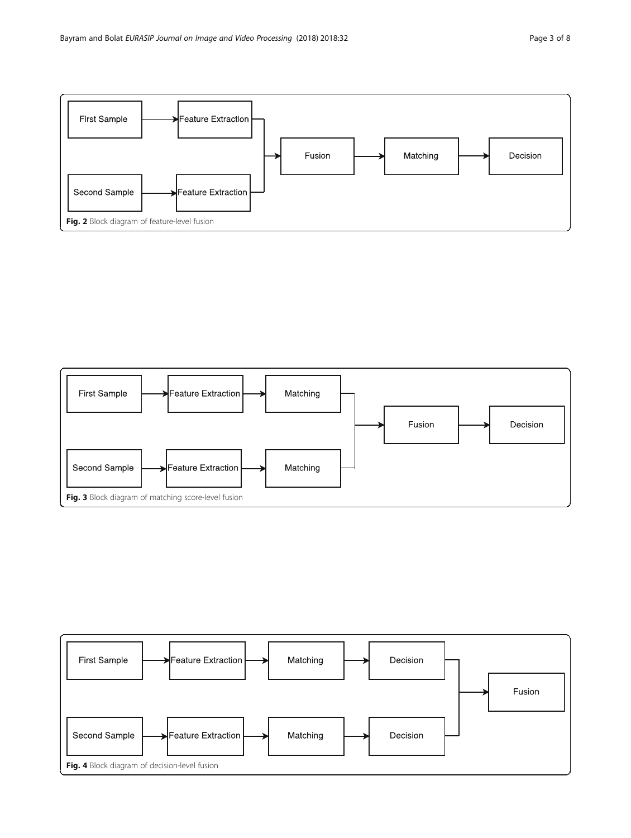<span id="page-2-0"></span>



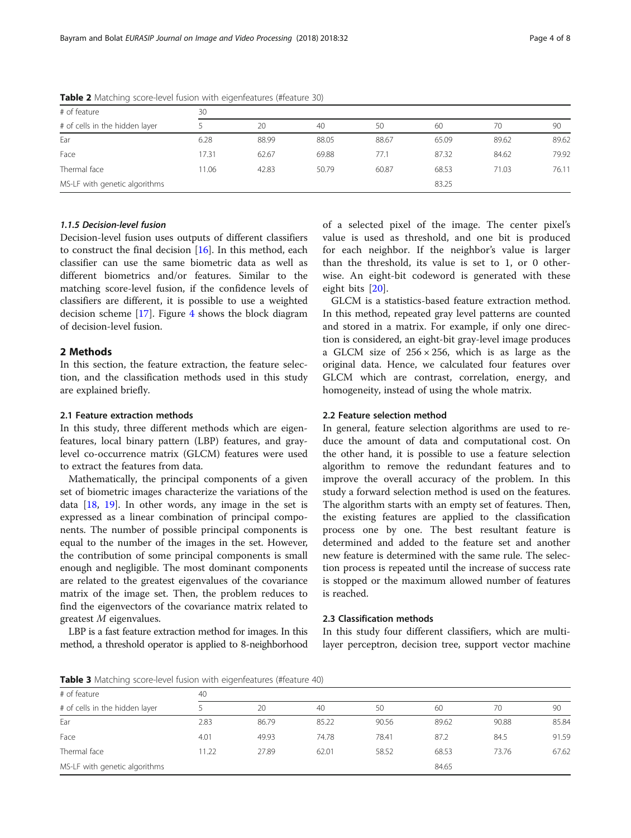| # of feature                   | 30    |       |       |       |       |       |       |  |  |
|--------------------------------|-------|-------|-------|-------|-------|-------|-------|--|--|
| # of cells in the hidden layer |       | 20    | 40    | 50    | 60    | 70    | 90    |  |  |
| Ear                            | 6.28  | 88.99 | 88.05 | 88.67 | 65.09 | 89.62 | 89.62 |  |  |
| Face                           | 17.31 | 62.67 | 69.88 | 77.1  | 87.32 | 84.62 | 79.92 |  |  |
| Thermal face                   | 1.06  | 42.83 | 50.79 | 60.87 | 68.53 | 71.03 | 76.11 |  |  |
| MS-LF with genetic algorithms  |       |       |       |       | 83.25 |       |       |  |  |

<span id="page-3-0"></span>Table 2 Matching score-level fusion with eigenfeatures (#feature 30)

# 1.1.5 Decision-level fusion

Decision-level fusion uses outputs of different classifiers to construct the final decision [[16\]](#page-7-0). In this method, each classifier can use the same biometric data as well as different biometrics and/or features. Similar to the matching score-level fusion, if the confidence levels of classifiers are different, it is possible to use a weighted decision scheme [[17\]](#page-7-0). Figure [4](#page-2-0) shows the block diagram of decision-level fusion.

# 2 Methods

In this section, the feature extraction, the feature selection, and the classification methods used in this study are explained briefly.

## 2.1 Feature extraction methods

In this study, three different methods which are eigenfeatures, local binary pattern (LBP) features, and graylevel co-occurrence matrix (GLCM) features were used to extract the features from data.

Mathematically, the principal components of a given set of biometric images characterize the variations of the data  $[18, 19]$  $[18, 19]$  $[18, 19]$  $[18, 19]$  $[18, 19]$ . In other words, any image in the set is expressed as a linear combination of principal components. The number of possible principal components is equal to the number of the images in the set. However, the contribution of some principal components is small enough and negligible. The most dominant components are related to the greatest eigenvalues of the covariance matrix of the image set. Then, the problem reduces to find the eigenvectors of the covariance matrix related to greatest M eigenvalues.

LBP is a fast feature extraction method for images. In this method, a threshold operator is applied to 8-neighborhood of a selected pixel of the image. The center pixel's value is used as threshold, and one bit is produced for each neighbor. If the neighbor's value is larger than the threshold, its value is set to 1, or 0 otherwise. An eight-bit codeword is generated with these eight bits [\[20](#page-7-0)].

GLCM is a statistics-based feature extraction method. In this method, repeated gray level patterns are counted and stored in a matrix. For example, if only one direction is considered, an eight-bit gray-level image produces a GLCM size of  $256 \times 256$ , which is as large as the original data. Hence, we calculated four features over GLCM which are contrast, correlation, energy, and homogeneity, instead of using the whole matrix.

## 2.2 Feature selection method

In general, feature selection algorithms are used to reduce the amount of data and computational cost. On the other hand, it is possible to use a feature selection algorithm to remove the redundant features and to improve the overall accuracy of the problem. In this study a forward selection method is used on the features. The algorithm starts with an empty set of features. Then, the existing features are applied to the classification process one by one. The best resultant feature is determined and added to the feature set and another new feature is determined with the same rule. The selection process is repeated until the increase of success rate is stopped or the maximum allowed number of features is reached.

# 2.3 Classification methods

In this study four different classifiers, which are multilayer perceptron, decision tree, support vector machine

Table 3 Matching score-level fusion with eigenfeatures (#feature 40)

| # of feature                   | 40    |       |       |       |       |       |       |  |  |
|--------------------------------|-------|-------|-------|-------|-------|-------|-------|--|--|
| # of cells in the hidden layer |       | 20    | 40    | 50    | 60    | 70    | 90    |  |  |
| Ear                            | 2.83  | 86.79 | 85.22 | 90.56 | 89.62 | 90.88 | 85.84 |  |  |
| Face                           | 4.01  | 49.93 | 74.78 | 78.41 | 87.2  | 84.5  | 91.59 |  |  |
| Thermal face                   | 11.22 | 27.89 | 62.01 | 58.52 | 68.53 | 73.76 | 67.62 |  |  |
| MS-LF with genetic algorithms  |       |       |       | 84.65 |       |       |       |  |  |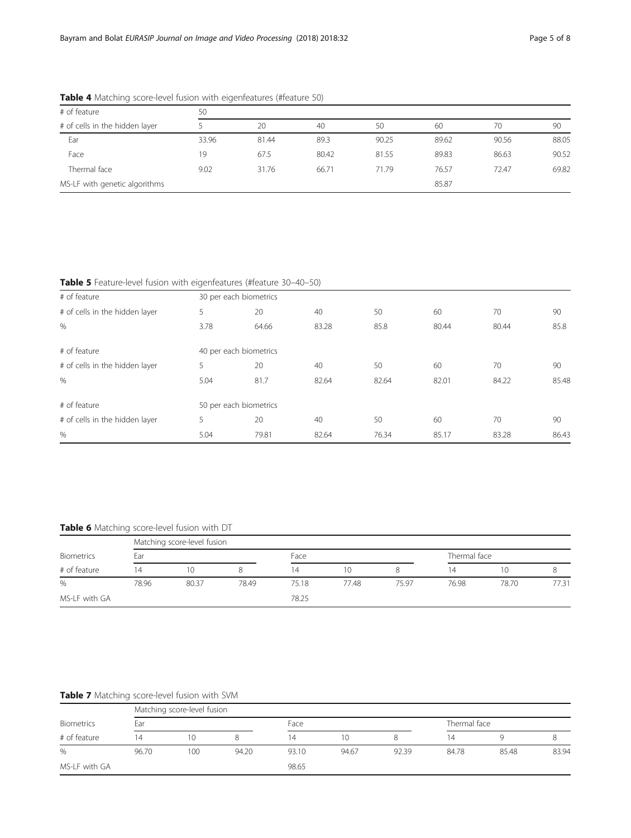| # of feature                   | 50    |       |       |       |       |       |       |  |  |
|--------------------------------|-------|-------|-------|-------|-------|-------|-------|--|--|
| # of cells in the hidden layer |       | 20    | 40    | 50    | 60    | 70    | 90    |  |  |
| Ear                            | 33.96 | 81.44 | 89.3  | 90.25 | 89.62 | 90.56 | 88.05 |  |  |
| Face                           | 19    | 67.5  | 80.42 | 81.55 | 89.83 | 86.63 | 90.52 |  |  |
| Thermal face                   | 9.02  | 31.76 | 66.71 | 71.79 | 76.57 | 72.47 | 69.82 |  |  |
| MS-LF with genetic algorithms  |       |       |       |       | 85.87 |       |       |  |  |

<span id="page-4-0"></span>Table 4 Matching score-level fusion with eigenfeatures (#feature 50)

Table 5 Feature-level fusion with eigenfeatures (#feature 30-40-50)

| # of feature                   |      | 30 per each biometrics |       |       |       |       |       |  |
|--------------------------------|------|------------------------|-------|-------|-------|-------|-------|--|
| # of cells in the hidden layer | 5    | 20                     | 40    | 50    | 60    | 70    | 90    |  |
| %                              | 3.78 | 64.66                  | 83.28 | 85.8  | 80.44 | 80.44 | 85.8  |  |
| # of feature                   |      | 40 per each biometrics |       |       |       |       |       |  |
| # of cells in the hidden layer | 5    | 20                     | 40    | 50    | 60    | 70    | 90    |  |
| $\%$                           | 5.04 | 81.7                   | 82.64 | 82.64 | 82.01 | 84.22 | 85.48 |  |
| # of feature                   |      | 50 per each biometrics |       |       |       |       |       |  |
| # of cells in the hidden layer | 5    | 20                     | 40    | 50    | 60    | 70    | 90    |  |
| $\%$                           | 5.04 | 79.81                  | 82.64 | 76.34 | 85.17 | 83.28 | 86.43 |  |

# Table 6 Matching score-level fusion with DT

|                            |       | Matching score-level fusion |       |       |       |       |       |              |       |  |  |
|----------------------------|-------|-----------------------------|-------|-------|-------|-------|-------|--------------|-------|--|--|
| Biometrics<br># of feature | Ear   |                             |       |       | Face  |       |       | Thermal face |       |  |  |
|                            | 14    | 10                          |       | 14    | 10    |       | 14    | 10           |       |  |  |
| $\%$                       | 78.96 | 80.37                       | 78.49 | 75.18 | 77.48 | 75.97 | 76.98 | 78.70        | 77.31 |  |  |
| MS-LF with GA              |       |                             |       | 78.25 |       |       |       |              |       |  |  |

# Table 7 Matching score-level fusion with SVM

| Biometrics<br># of feature |       | Matching score-level fusion |       |       |       |       |       |              |       |  |  |
|----------------------------|-------|-----------------------------|-------|-------|-------|-------|-------|--------------|-------|--|--|
|                            | Ear   |                             |       | Face  |       |       |       | Thermal face |       |  |  |
|                            | 14    | 10                          |       | 14    | 10    |       | 14    |              |       |  |  |
| %                          | 96.70 | 100                         | 94.20 | 93.10 | 94.67 | 92.39 | 84.78 | 85.48        | 83.94 |  |  |
| MS-LF with GA              |       |                             |       | 98.65 |       |       |       |              |       |  |  |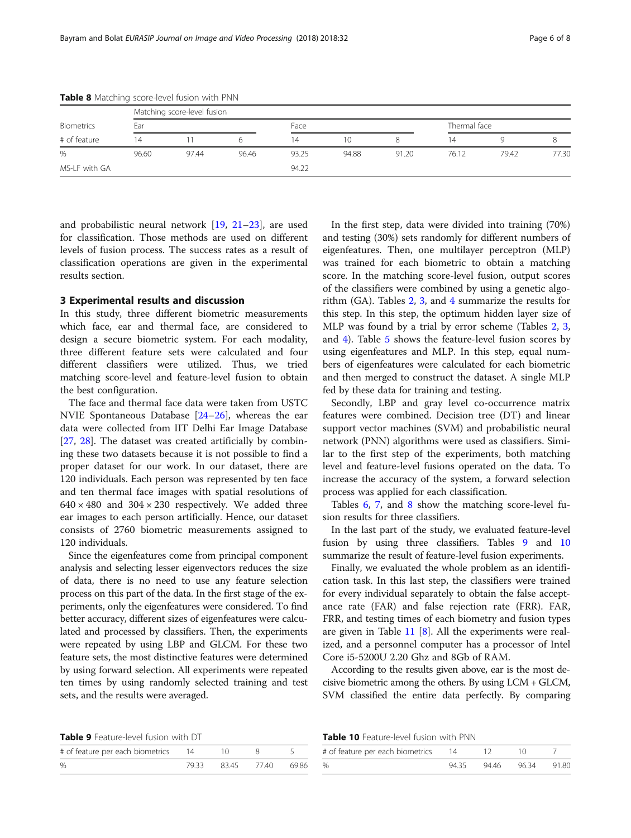|               |       | Matching score-level fusion |       |       |       |       |       |              |       |  |  |
|---------------|-------|-----------------------------|-------|-------|-------|-------|-------|--------------|-------|--|--|
| Biometrics    | Ear   |                             |       | Face  |       |       |       | Thermal face |       |  |  |
| # of feature  | 14    |                             |       | 14    | 10    |       | 14    |              | 8     |  |  |
| $\frac{0}{0}$ | 96.60 | 97.44                       | 96.46 | 93.25 | 94.88 | 91.20 | 76.12 | 79.42        | 77.30 |  |  |
| MS-LF with GA |       |                             |       | 94.22 |       |       |       |              |       |  |  |

<span id="page-5-0"></span>Table 8 Matching score-level fusion with PNN

and probabilistic neural network [[19,](#page-7-0) [21](#page-7-0)–[23\]](#page-7-0), are used for classification. Those methods are used on different levels of fusion process. The success rates as a result of classification operations are given in the experimental results section.

## 3 Experimental results and discussion

In this study, three different biometric measurements which face, ear and thermal face, are considered to design a secure biometric system. For each modality, three different feature sets were calculated and four different classifiers were utilized. Thus, we tried matching score-level and feature-level fusion to obtain the best configuration.

The face and thermal face data were taken from USTC NVIE Spontaneous Database [[24](#page-7-0)–[26](#page-7-0)], whereas the ear data were collected from IIT Delhi Ear Image Database [[27,](#page-7-0) [28](#page-7-0)]. The dataset was created artificially by combining these two datasets because it is not possible to find a proper dataset for our work. In our dataset, there are 120 individuals. Each person was represented by ten face and ten thermal face images with spatial resolutions of  $640 \times 480$  and  $304 \times 230$  respectively. We added three ear images to each person artificially. Hence, our dataset consists of 2760 biometric measurements assigned to 120 individuals.

Since the eigenfeatures come from principal component analysis and selecting lesser eigenvectors reduces the size of data, there is no need to use any feature selection process on this part of the data. In the first stage of the experiments, only the eigenfeatures were considered. To find better accuracy, different sizes of eigenfeatures were calculated and processed by classifiers. Then, the experiments were repeated by using LBP and GLCM. For these two feature sets, the most distinctive features were determined by using forward selection. All experiments were repeated ten times by using randomly selected training and test sets, and the results were averaged.

In the first step, data were divided into training (70%) and testing (30%) sets randomly for different numbers of eigenfeatures. Then, one multilayer perceptron (MLP) was trained for each biometric to obtain a matching score. In the matching score-level fusion, output scores of the classifiers were combined by using a genetic algorithm (GA). Tables  $2, 3$  $2, 3$  $2, 3$ , and  $4$  summarize the results for this step. In this step, the optimum hidden layer size of MLP was found by a trial by error scheme (Tables [2,](#page-3-0) [3](#page-3-0), and [4](#page-4-0)). Table [5](#page-4-0) shows the feature-level fusion scores by using eigenfeatures and MLP. In this step, equal numbers of eigenfeatures were calculated for each biometric and then merged to construct the dataset. A single MLP fed by these data for training and testing.

Secondly, LBP and gray level co-occurrence matrix features were combined. Decision tree (DT) and linear support vector machines (SVM) and probabilistic neural network (PNN) algorithms were used as classifiers. Similar to the first step of the experiments, both matching level and feature-level fusions operated on the data. To increase the accuracy of the system, a forward selection process was applied for each classification.

Tables [6,](#page-4-0) [7](#page-4-0), and 8 show the matching score-level fusion results for three classifiers.

In the last part of the study, we evaluated feature-level fusion by using three classifiers. Tables 9 and 10 summarize the result of feature-level fusion experiments.

Finally, we evaluated the whole problem as an identification task. In this last step, the classifiers were trained for every individual separately to obtain the false acceptance rate (FAR) and false rejection rate (FRR). FAR, FRR, and testing times of each biometry and fusion types are given in Table  $11 \, [8]$  $11 \, [8]$  $11 \, [8]$  $11 \, [8]$ . All the experiments were realized, and a personnel computer has a processor of Intel Core i5-5200U 2.20 Ghz and 8Gb of RAM.

According to the results given above, ear is the most decisive biometric among the others. By using LCM + GLCM, SVM classified the entire data perfectly. By comparing

Table 9 Feature-level fusion with DT

| <b>Table 10</b> Feature-level fusion with PNN |  |  |  |
|-----------------------------------------------|--|--|--|
|-----------------------------------------------|--|--|--|

| # of feature per each biometrics | 14 |                         |  |
|----------------------------------|----|-------------------------|--|
| $\frac{0}{0}$                    |    | 79.33 83.45 77.40 69.86 |  |

| # of feature per each biometrics 14 |      | - 12 |             |       |
|-------------------------------------|------|------|-------------|-------|
|                                     | 9435 |      | 94.46 96.34 | 91.80 |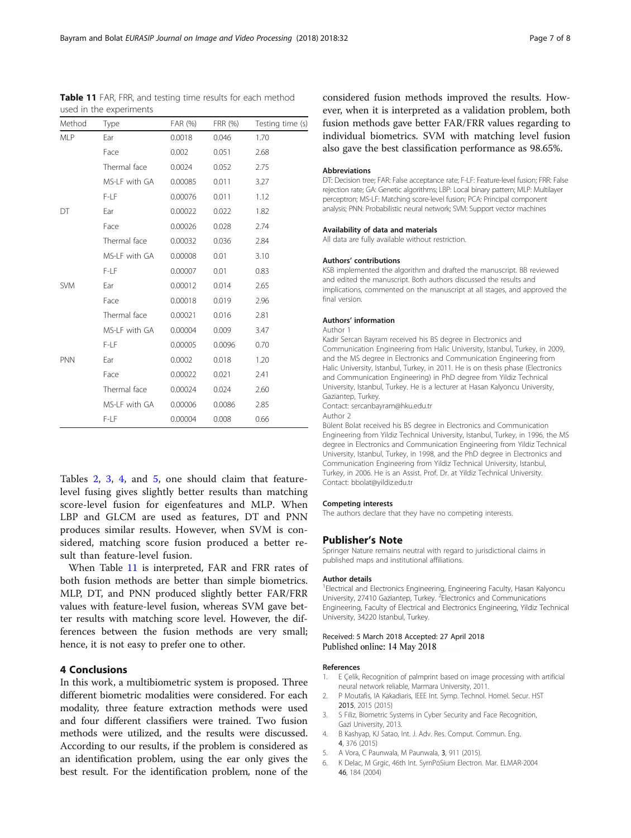| Method     | Type           | FAR (%) | FRR (%) | Testing time (s) |
|------------|----------------|---------|---------|------------------|
| <b>MLP</b> | Ear            | 0.0018  | 0.046   | 1.70             |
|            | Face           | 0.002   | 0.051   | 2.68             |
|            | Thermal face   | 0.0024  | 0.052   | 2.75             |
|            | MS-I F with GA | 0.00085 | 0.011   | 3.27             |
|            | F-LF           | 0.00076 | 0.011   | 1.12             |
| DT         | Ear            | 0.00022 | 0.022   | 1.82             |
|            | Face           | 0.00026 | 0.028   | 2.74             |
|            | Thermal face   | 0.00032 | 0.036   | 2.84             |
|            | MS-LF with GA  | 0.00008 | 0.01    | 3.10             |
|            | F-LF           | 0.00007 | 0.01    | 0.83             |
| <b>SVM</b> | Ear            | 0.00012 | 0.014   | 2.65             |
|            | Face           | 0.00018 | 0.019   | 2.96             |
|            | Thermal face   | 0.00021 | 0.016   | 2.81             |
|            | MS-I F with GA | 0.00004 | 0.009   | 3.47             |
|            | F-LF           | 0.00005 | 0.0096  | 0.70             |
| <b>PNN</b> | Ear            | 0.0002  | 0.018   | 1.20             |
|            | Face           | 0.00022 | 0.021   | 2.41             |
|            | Thermal face   | 0.00024 | 0.024   | 2.60             |
|            | MS-LF with GA  | 0.00006 | 0.0086  | 2.85             |
|            | F-I F          | 0.00004 | 0.008   | 0.66             |

<span id="page-6-0"></span>Table 11 FAR, FRR, and testing time results for each method used in the experiments

Tables [2,](#page-3-0) [3](#page-3-0), [4](#page-4-0), and [5](#page-4-0), one should claim that featurelevel fusing gives slightly better results than matching score-level fusion for eigenfeatures and MLP. When LBP and GLCM are used as features, DT and PNN produces similar results. However, when SVM is considered, matching score fusion produced a better result than feature-level fusion.

When Table 11 is interpreted, FAR and FRR rates of both fusion methods are better than simple biometrics. MLP, DT, and PNN produced slightly better FAR/FRR values with feature-level fusion, whereas SVM gave better results with matching score level. However, the differences between the fusion methods are very small; hence, it is not easy to prefer one to other.

## 4 Conclusions

In this work, a multibiometric system is proposed. Three different biometric modalities were considered. For each modality, three feature extraction methods were used and four different classifiers were trained. Two fusion methods were utilized, and the results were discussed. According to our results, if the problem is considered as an identification problem, using the ear only gives the best result. For the identification problem, none of the

considered fusion methods improved the results. However, when it is interpreted as a validation problem, both fusion methods gave better FAR/FRR values regarding to individual biometrics. SVM with matching level fusion also gave the best classification performance as 98.65%.

### Abbreviations

DT: Decision tree; FAR: False acceptance rate; F-LF: Feature-level fusion; FRR: False rejection rate; GA: Genetic algorithms; LBP: Local binary pattern; MLP: Multilayer perceptron; MS-LF: Matching score-level fusion; PCA: Principal component analysis; PNN: Probabilistic neural network; SVM: Support vector machines

#### Availability of data and materials

All data are fully available without restriction.

#### Authors' contributions

KSB implemented the algorithm and drafted the manuscript. BB reviewed and edited the manuscript. Both authors discussed the results and implications, commented on the manuscript at all stages, and approved the final version.

## Authors' information

Author 1

Kadir Sercan Bayram received his BS degree in Electronics and Communication Engineering from Halic University, Istanbul, Turkey, in 2009, and the MS degree in Electronics and Communication Engineering from Halic University, Istanbul, Turkey, in 2011. He is on thesis phase (Electronics and Communication Engineering) in PhD degree from Yildiz Technical University, Istanbul, Turkey. He is a lecturer at Hasan Kalyoncu University, Gaziantep, Turkey.

Contact: sercanbayram@hku.edu.tr

Author 2

Bülent Bolat received his BS degree in Electronics and Communication Engineering from Yildiz Technical University, Istanbul, Turkey, in 1996, the MS degree in Electronics and Communication Engineering from Yildiz Technical University, Istanbul, Turkey, in 1998, and the PhD degree in Electronics and Communication Engineering from Yildiz Technical University, Istanbul, Turkey, in 2006. He is an Assist. Prof. Dr. at Yildiz Technical University. Contact: bbolat@yildiz.edu.tr

#### Competing interests

The authors declare that they have no competing interests.

## Publisher's Note

Springer Nature remains neutral with regard to jurisdictional claims in published maps and institutional affiliations.

#### Author details

<sup>1</sup> Electrical and Electronics Engineering, Engineering Faculty, Hasan Kalyoncu University, 27410 Gaziantep, Turkey. <sup>2</sup> Electronics and Communications Engineering, Faculty of Electrical and Electronics Engineering, Yildiz Technical University, 34220 Istanbul, Turkey.

## Received: 5 March 2018 Accepted: 27 April 2018 Published online: 14 May 2018

## References

- 1. E Çelik, Recognition of palmprint based on image processing with artificial neural network reliable, Marmara University, 2011.
- 2. P Moutafis, IA Kakadiaris, IEEE Int. Symp. Technol. Homel. Secur. HST 2015, 2015 (2015)
- 3. S Filiz, Biometric Systems in Cyber Security and Face Recognition, Gazi University, 2013.
- 4. B Kashyap, KJ Satao, Int. J. Adv. Res. Comput. Commun. Eng. 4, 376 (2015)
- 5. A Vora, C Paunwala, M Paunwala, 3, 911 (2015).
- 6. K Delac, M Grgic, 46th Int. SyrnPoSium Electron. Mar. ELMAR-2004 46, 184 (2004)